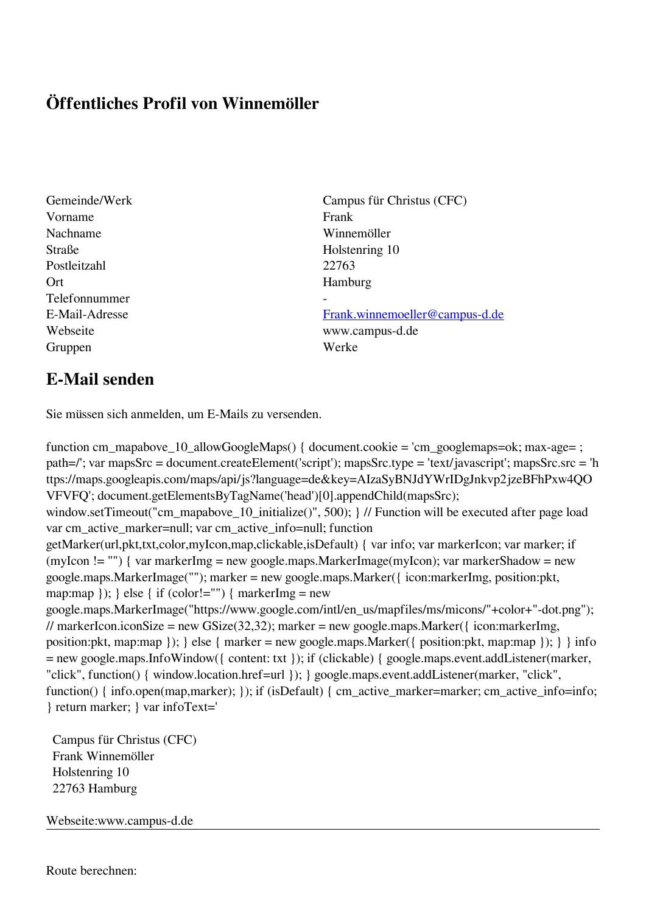## **Öffentliches Profil von Winnemöller**

- Vorname Frank Nachname Winnemöller Straße Holstenring 10 Postleitzahl 22763 Ort Hamburg Telefonnummer - Gruppen Werke
- Gemeinde/Werk Campus für Christus (CFC)

E-Mail-Adresse [Frank.winnemoeller@campus-d.de](mailto:Frank.winnemoeller@campus-d.de) Webseite www.campus-d.de

## **E-Mail senden**

Sie müssen sich anmelden, um E-Mails zu versenden.

function cm\_mapabove\_10\_allowGoogleMaps() { document.cookie = 'cm\_googlemaps=ok; max-age= ; path=/'; var mapsSrc = document.createElement('script'); mapsSrc.type = 'text/javascript'; mapsSrc.src = 'h ttps://maps.googleapis.com/maps/api/js?language=de&key=AIzaSyBNJdYWrIDgJnkvp2jzeBFhPxw4QO VFVFQ'; document.getElementsByTagName('head')[0].appendChild(mapsSrc); window.setTimeout("cm\_mapabove\_10\_initialize()", 500); } // Function will be executed after page load var cm\_active\_marker=null; var cm\_active\_info=null; function getMarker(url,pkt,txt,color,myIcon,map,clickable,isDefault) { var info; var markerIcon; var marker; if (myIcon != "") { var markerImg = new google.maps.MarkerImage(myIcon); var markerShadow = new google.maps.MarkerImage(""); marker = new google.maps.Marker({ icon:markerImg, position:pkt, map:map  $\}$ ;  $\}$  else  $\{$  if (color!="")  $\{$  markerImg = new google.maps.MarkerImage("https://www.google.com/intl/en\_us/mapfiles/ms/micons/"+color+"-dot.png"); // markerIcon.iconSize = new GSize(32,32); marker = new google.maps.Marker({ $i$ con:markerImg, position:pkt, map:map }); } else { marker = new google.maps.Marker({ position:pkt, map:map }); } } info = new google.maps.InfoWindow({ content: txt }); if (clickable) { google.maps.event.addListener(marker, "click", function() { window.location.href=url }); } google.maps.event.addListener(marker, "click", function() { info.open(map,marker); }); if (isDefault) { cm\_active\_marker=marker; cm\_active\_info=info; } return marker; } var infoText='

 Campus für Christus (CFC) Frank Winnemöller Holstenring 10 22763 Hamburg

Webseite:www.campus-d.de